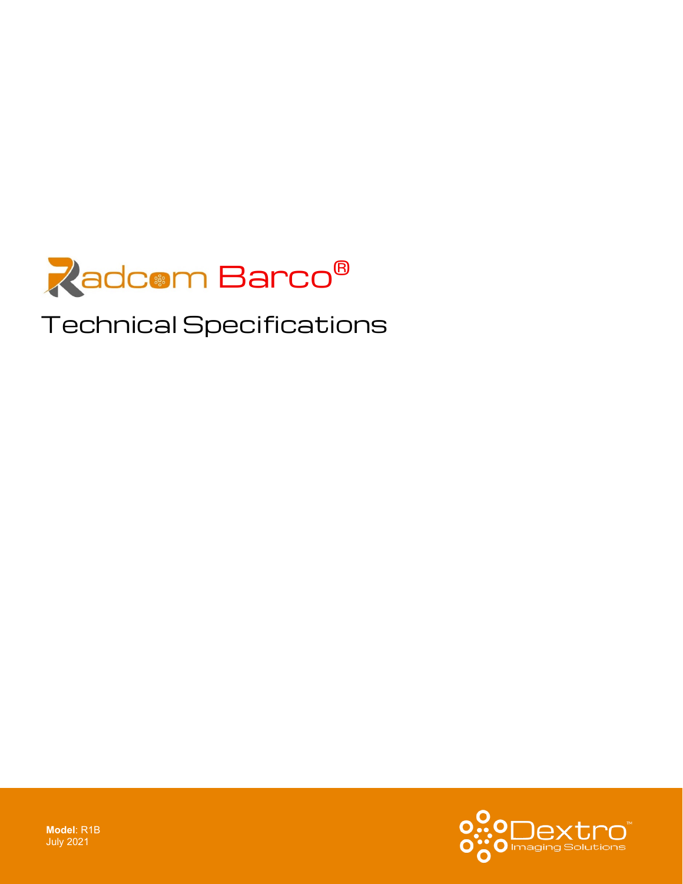

# Technical Specifications



**Model**: R1B July 2021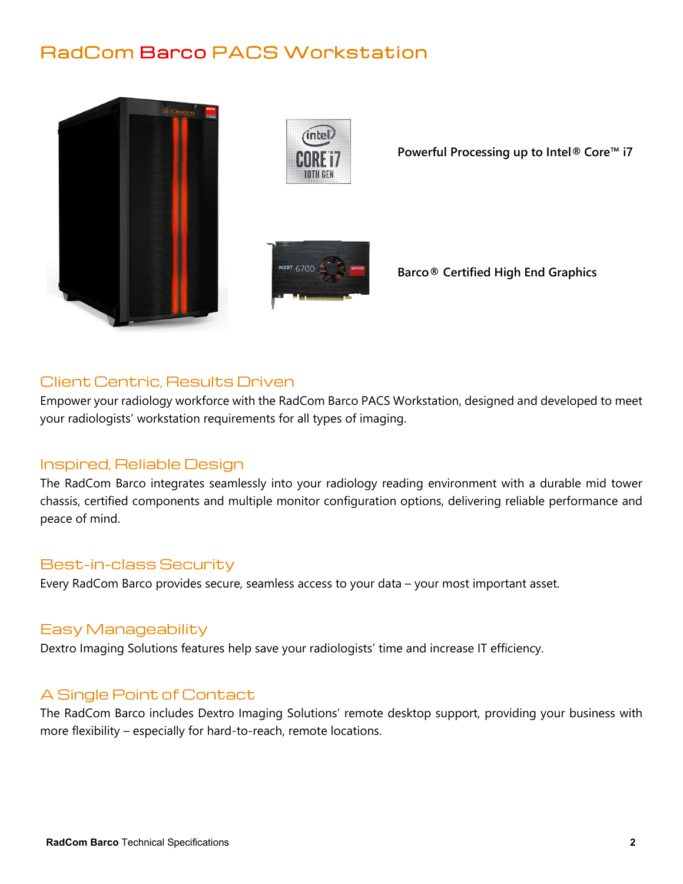## RadCom Barco PACS Workstation





**Powerful Processing up to Intel® Core™ i7**



**Barco® Certified High End Graphics**

### Client Centric, Results Driven

Empower your radiology workforce with the RadCom Barco PACS Workstation, designed and developed to meet your radiologists' workstation requirements for all types of imaging.

#### Inspired, Reliable Design

The RadCom Barco integrates seamlessly into your radiology reading environment with a durable mid tower chassis, certified components and multiple monitor configuration options, delivering reliable performance and peace of mind.

#### Best-in-class Security

Every RadCom Barco provides secure, seamless access to your data – your most important asset.

#### Easy Manageability

Dextro Imaging Solutions features help save your radiologists' time and increase IT efficiency.

#### A Single Point of Contact

The RadCom Barco includes Dextro Imaging Solutions' remote desktop support, providing your business with more flexibility – especially for hard-to-reach, remote locations.